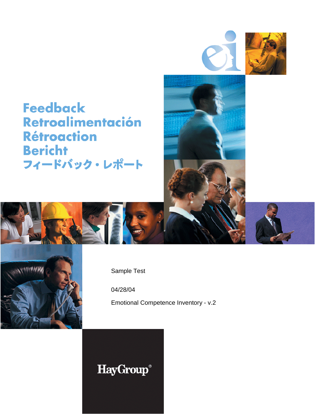



**Feedback** Retroalimentación **Rétroaction Bericht** フィードバック・レポート







Sample Test

04/28/04

Emotional Competence Inventory - v.2

# **HayGroup®**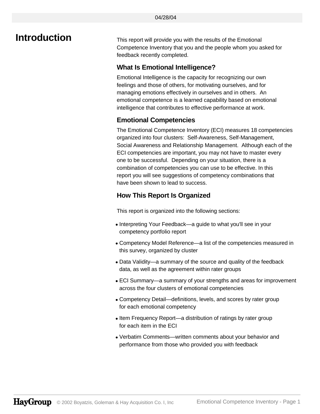**Introduction** This report will provide you with the results of the Emotional Competence Inventory that you and the people whom you asked for feedback recently completed.

#### **What Is Emotional Intelligence?**

Emotional Intelligence is the capacity for recognizing our own feelings and those of others, for motivating ourselves, and for managing emotions effectively in ourselves and in others. An emotional competence is a learned capability based on emotional intelligence that contributes to effective performance at work.

#### **Emotional Competencies**

The Emotional Competence Inventory (ECI) measures 18 competencies organized into four clusters: Self-Awareness, Self-Management, Social Awareness and Relationship Management. Although each of the ECI competencies are important, you may not have to master every one to be successful. Depending on your situation, there is a combination of competencies you can use to be effective. In this report you will see suggestions of competency combinations that have been shown to lead to success.

#### **How This Report Is Organized**

This report is organized into the following sections:

- Interpreting Your Feedback—a guide to what you'll see in your competency portfolio report
- Competency Model Reference—a list of the competencies measured in this survey, organized by cluster
- Data Validity—a summary of the source and quality of the feedback data, as well as the agreement within rater groups
- ECI Summary—a summary of your strengths and areas for improvement across the four clusters of emotional competencies
- Competency Detail—definitions, levels, and scores by rater group for each emotional competency
- Item Frequency Report—a distribution of ratings by rater group for each item in the ECI
- Verbatim Comments—written comments about your behavior and performance from those who provided you with feedback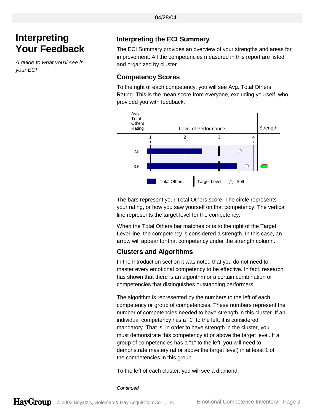# **Interpreting Your Feedback**

*A guide to what you'll see in your ECI*

### **Interpreting the ECI Summary**

The ECI Summary provides an overview of your strengths and areas for improvement. All the competencies measured in this report are listed and organized by cluster.

#### **Competency Scores**

To the right of each competency, you will see Avg. Total Others Rating. This is the mean score from everyone, excluding yourself, who provided you with feedback.



The bars represent your Total Others score. The circle represents your rating, or how you saw yourself on that competency. The vertical line represents the target level for the competency.

When the Total Others bar matches or is to the right of the Target Level line, the competency is considered a strength. In this case, an arrow will appear for that competency under the strength column.

#### **Clusters and Algorithms**

In the Introduction section it was noted that you do not need to master every emotional competency to be effective. In fact, research has shown that there is an algorithm or a certain combination of competencies that distinguishes outstanding performers.

The algorithm is represented by the numbers to the left of each competency or group of competencies. These numbers represent the number of competencies needed to have strength in this cluster. If an individual competency has a "1" to the left, it is considered mandatory. That is, in order to have strength in the cluster, you must demonstrate this competency at or above the target level. If a group of competencies has a "1" to the left, you will need to demonstrate mastery (at or above the target level) in at least 1 of the competencies in this group.

To the left of each cluster, you will see a diamond.

*Continued*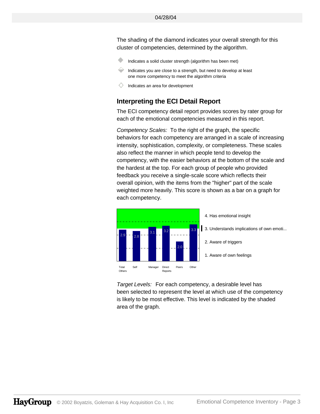The shading of the diamond indicates your overall strength for this cluster of competencies, determined by the algorithm.

- Indicates a solid cluster strength (algorithm has been met)
- Indicates you are close to a strength, but need to develop at least one more competency to meet the algorithm criteria
- Indicates an area for development

#### **Interpreting the ECI Detail Report**

The ECI competency detail report provides scores by rater group for each of the emotional competencies measured in this report.

*Competency Scales:* To the right of the graph, the specific behaviors for each competency are arranged in a scale of increasing intensity, sophistication, complexity, or completeness. These scales also reflect the manner in which people tend to develop the competency, with the easier behaviors at the bottom of the scale and the hardest at the top. For each group of people who provided feedback you receive a single-scale score which reflects their overall opinion, with the items from the "higher" part of the scale weighted more heavily. This score is shown as a bar on a graph for each competency.



*Target Levels:* For each competency, a desirable level has been selected to represent the level at which use of the competency is likely to be most effective. This level is indicated by the shaded area of the graph.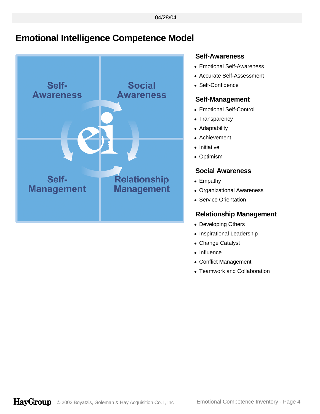# **Emotional Intelligence Competence Model**



#### **Self-Awareness**

- Emotional Self-Awareness
- Accurate Self-Assessment
- Self-Confidence

#### **Self-Management**

- Emotional Self-Control
- Transparency
- Adaptability
- Achievement
- Initiative
- Optimism

#### **Social Awareness**

- Empathy
- Organizational Awareness
- Service Orientation

### **Relationship Management**

- Developing Others
- Inspirational Leadership
- Change Catalyst
- Influence
- Conflict Management
- Teamwork and Collaboration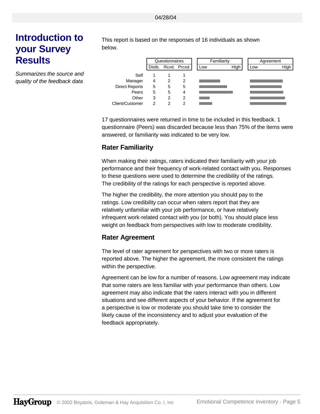# **Introduction to your Survey Results**

*Summarizes the source and quality of the feedback data*

This report is based on the responses of 16 individuals as shown below.



17 questionnaires were returned in time to be included in this feedback. 1 questionnaire (Peers) was discarded because less than 75% of the items were answered, or familiarity was indicated to be very low.

#### **Rater Familiarity**

When making their ratings, raters indicated their familiarity with your job performance and their frequency of work-related contact with you. Responses to these questions were used to determine the credibility of the ratings. The credibility of the ratings for each perspective is reported above.

The higher the credibility, the more attention you should pay to the ratings. Low credibility can occur when raters report that they are relatively unfamiliar with your job performance, or have relatively infrequent work-related contact with you (or both). You should place less weight on feedback from perspectives with low to moderate credibility.

#### **Rater Agreement**

The level of rater agreement for perspectives with two or more raters is reported above. The higher the agreement, the more consistent the ratings within the perspective.

Agreement can be low for a number of reasons. Low agreement may indicate that some raters are less familiar with your performance than others. Low agreement may also indicate that the raters interact with you in different situations and see different aspects of your behavior. If the agreement for a perspective is low or moderate you should take time to consider the likely cause of the inconsistency and to adjust your evaluation of the feedback appropriately.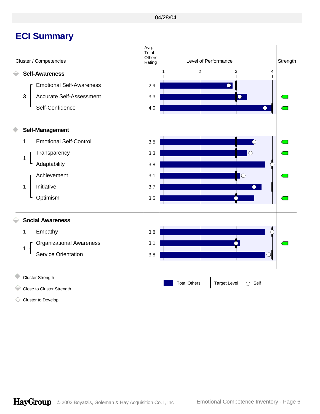# **ECI Summary**



- Close to Cluster Strength
	-

Cluster to Develop ◇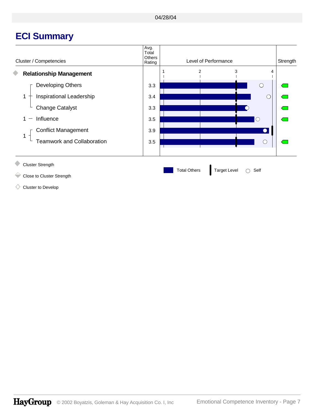# **ECI Summary**



Close to Cluster Strength

Cluster to Develop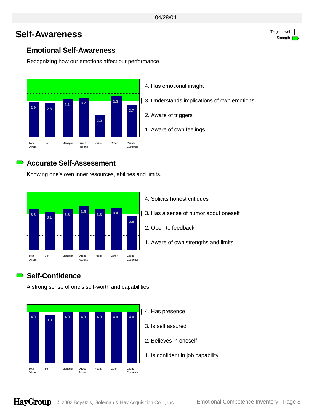# **Self-Awareness** Target Level

### **Emotional Self-Awareness**

Recognizing how our emotions affect our performance.



### **Accurate Self-Assessment**

Knowing one's own inner resources, abilities and limits.



### **Self-Confidence**

A strong sense of one's self-worth and capabilities.

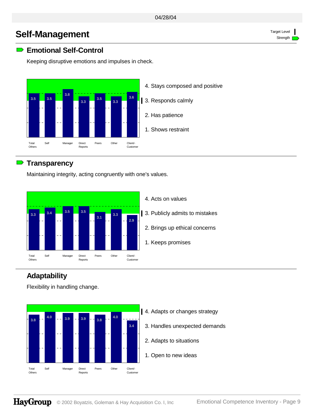# **Self-Management** Target Level

### **Emotional Self-Control**

Keeping disruptive emotions and impulses in check.



### **Transparency**

Maintaining integrity, acting congruently with one's values.



# **Adaptability**

Flexibility in handling change.



- 4. Adapts or changes strategy
	- 3. Handles unexpected demands
	- 2. Adapts to situations
	- 1. Open to new ideas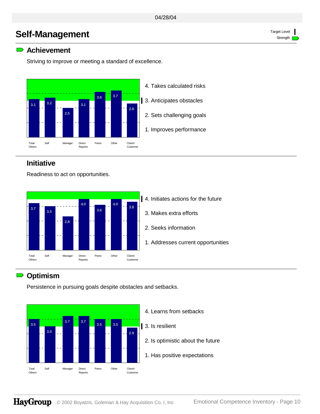# **Self-Management** Target Level

### **Achievement**

Striving to improve or meeting a standard of excellence.



### **Initiative**

Readiness to act on opportunities.



# **Optimism**

Persistence in pursuing goals despite obstacles and setbacks.



- 4. Learns from setbacks
- 3. Is resilient
	- 2. Is optimistic about the future
	- 1. Has positive expectations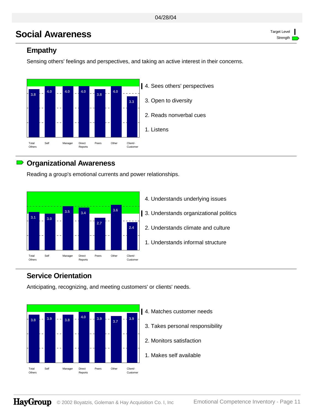# **Social Awareness** Target Level

### **Empathy**

Sensing others' feelings and perspectives, and taking an active interest in their concerns.



### **Organizational Awareness**

Reading a group's emotional currents and power relationships.



4. Understands underlying issues 13. Understands organizational politics 2. Understands climate and culture 1. Understands informal structure

# **Service Orientation**

Anticipating, recognizing, and meeting customers' or clients' needs.



- 4. Matches customer needs
	- 3. Takes personal responsibility
	- 2. Monitors satisfaction
	- 1. Makes self available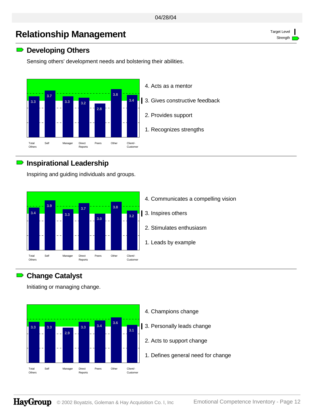# **Relationship Management** Target Level

### **■** Developing Others

Sensing others' development needs and bolstering their abilities.



### **Inspirational Leadership**

Inspiring and guiding individuals and groups.



### **Change Catalyst**

Initiating or managing change.



- 4. Champions change
- 1 3. Personally leads change
	- 2. Acts to support change
	- 1. Defines general need for change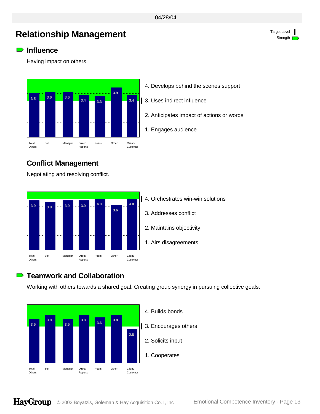# **Relationship Management** Target Level

#### **Influence**

Having impact on others.



- 4. Develops behind the scenes support
- 3. Uses indirect influence
	- 2. Anticipates impact of actions or words
- 1. Engages audience

### **Conflict Management**

Negotiating and resolving conflict.



# **Teamwork and Collaboration**

Working with others towards a shared goal. Creating group synergy in pursuing collective goals.

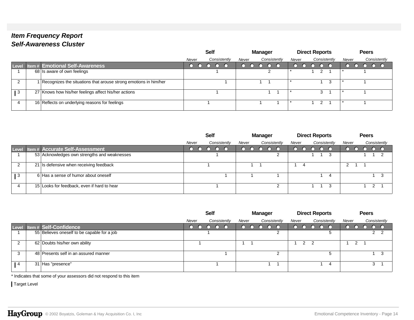# *Item Frequency Report Self-Awareness Cluster*

|                 |                                                                  |       | <b>Self</b>  |       | <b>Manager</b> |              | <b>Direct Reports</b> |              |       | <b>Peers</b> |              |
|-----------------|------------------------------------------------------------------|-------|--------------|-------|----------------|--------------|-----------------------|--------------|-------|--------------|--------------|
|                 |                                                                  | Never | Consistently | Never |                | Consistently | Never                 | Consistently | Never |              | Consistently |
|                 | Level Item # Emotional Self-Awareness                            |       |              |       |                |              |                       |              |       |              |              |
|                 | 68 Is aware of own feelings                                      |       |              |       |                |              |                       |              |       |              |              |
| $\sim$          | Recognizes the situations that arouse strong emotions in him/her |       |              |       |                |              |                       | 3            |       |              |              |
| $\overline{1}3$ | 27 Knows how his/her feelings affect his/her actions             |       |              |       |                |              |                       |              |       |              |              |
|                 | 16 Reflects on underlying reasons for feelings                   |       |              |       |                |              |                       |              |       |              |              |

|       |                                              |                                |  | <b>Self</b>  |       |  | <b>Manager</b> |       |  | <b>Direct Reports</b> |              | <b>Peers</b> |        |    |
|-------|----------------------------------------------|--------------------------------|--|--------------|-------|--|----------------|-------|--|-----------------------|--------------|--------------|--------|----|
|       |                                              | Consistently<br>Never<br>Never |  | Consistently | Never |  | Consistently   | Never |  |                       | Consistently |              |        |    |
| Level | <b>Item # Accurate Self-Assessment</b>       |                                |  |              |       |  |                |       |  |                       |              |              |        |    |
|       | 53 Acknowledges own strengths and weaknesses |                                |  |              |       |  |                |       |  |                       |              |              |        |    |
|       | 21 Is defensive when receiving feedback      |                                |  |              |       |  |                |       |  |                       | 2            |              |        |    |
| ∣3    | 6 Has a sense of humor about oneself         |                                |  |              |       |  |                |       |  | 4                     |              |              |        | -3 |
|       | 15 Looks for feedback, even if hard to hear  |                                |  |              |       |  | ⌒              |       |  | - 3                   |              |              | $\sim$ |    |

|                |                                             | <b>Self</b><br>Consistently<br>Never |  |  | Manager |  |              |       | <b>Direct Reports</b> |              |       | <b>Peers</b> |  |    |              |
|----------------|---------------------------------------------|--------------------------------------|--|--|---------|--|--------------|-------|-----------------------|--------------|-------|--------------|--|----|--------------|
|                |                                             |                                      |  |  | Never   |  | Consistently | Never |                       | Consistently | Never |              |  |    | Consistently |
| Level          | Intem# Self-Confidence                      |                                      |  |  |         |  |              |       |                       |              |       |              |  |    |              |
|                | 55 Believes oneself to be capable for a job |                                      |  |  |         |  | ◠            |       |                       |              |       |              |  | 22 |              |
|                | 62 Doubts his/her own ability               |                                      |  |  |         |  |              |       |                       |              |       | າ            |  |    |              |
|                | 48 Presents self in an assured manner       |                                      |  |  |         |  | ົ            |       |                       |              |       |              |  |    | 3            |
| $\mathbf{1}$ 4 | 31 Has "presence"                           |                                      |  |  |         |  |              |       |                       | 4            |       |              |  |    |              |

\* Indicates that some of your assessors did not respond to this item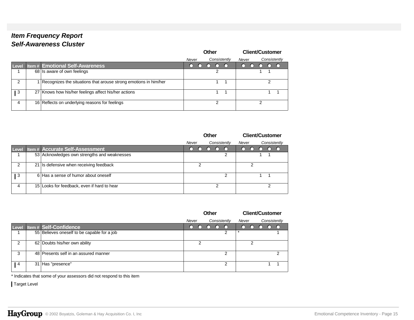# *Item Frequency Report Self-Awareness Cluster*

|       |                                                                  |       | <b>Other</b> |        | <b>Client/Customer</b> |
|-------|------------------------------------------------------------------|-------|--------------|--------|------------------------|
|       |                                                                  | Never | Consistently | Never  | Consistently           |
| Level | <b>Item # Emotional Self-Awareness</b>                           |       |              | $\cap$ |                        |
|       | 68 Is aware of own feelings                                      |       |              |        |                        |
| 2     | Recognizes the situations that arouse strong emotions in him/her |       |              |        | っ                      |
| 3     | 27 Knows how his/her feelings affect his/her actions             |       |              |        |                        |
| 4     | 16 Reflects on underlying reasons for feelings                   |       | າ            |        | ◠                      |

|       |                                              |       | <b>Other</b>                                    |        | <b>Client/Customer</b> |  |
|-------|----------------------------------------------|-------|-------------------------------------------------|--------|------------------------|--|
|       |                                              | Never | Consistently                                    | Never  | Consistently           |  |
| Level | <b>Item # Accurate Self-Assessment</b>       |       | $\left( \begin{array}{c} 1 \end{array} \right)$ | $\cap$ |                        |  |
|       | 53 Acknowledges own strengths and weaknesses |       | າ                                               |        |                        |  |
| ົ     | 21 Is defensive when receiving feedback      |       |                                                 |        |                        |  |
| 3     | 6 Has a sense of humor about oneself         |       | っ                                               |        |                        |  |
| 4     | 15 Looks for feedback, even if hard to hear  |       | റ                                               |        | ⌒                      |  |

|                |                                             |       | Other |              |       | <b>Client/Customer</b> |  |              |
|----------------|---------------------------------------------|-------|-------|--------------|-------|------------------------|--|--------------|
|                |                                             | Never |       | Consistently | Never |                        |  | Consistently |
| Level          | <b>Item# Self-Confidence</b>                | ∩     |       |              | n     |                        |  |              |
|                | 55 Believes oneself to be capable for a job |       |       |              |       |                        |  |              |
| 2              | 62 Doubts his/her own ability               |       |       |              |       | ◠                      |  |              |
| 3              | 48 Presents self in an assured manner       |       |       | ⌒            |       |                        |  | ົ            |
| $\overline{4}$ | 31 Has "presence"                           |       |       | ⌒            |       |                        |  |              |

\* Indicates that some of your assessors did not respond to this item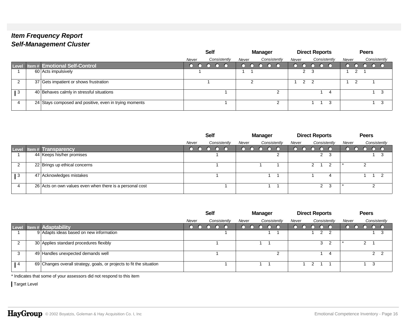|                 |                                                        | <b>Self</b>           | Manager               | <b>Direct Reports</b> | <b>Peers</b>          |
|-----------------|--------------------------------------------------------|-----------------------|-----------------------|-----------------------|-----------------------|
|                 |                                                        | Consistently<br>Never | Consistently<br>Never | Consistently<br>Never | Consistently<br>Never |
|                 | Level Item # Emotional Self-Control                    |                       |                       |                       | $\cap$ $\cap$         |
|                 | 60 Acts impulsively                                    |                       |                       | 2 <sup>3</sup>        |                       |
| റ               | 37 Gets impatient or shows frustration                 |                       | ◠                     | $\mathcal{P}$         |                       |
| $\overline{1}3$ | 40 Behaves calmly in stressful situations              |                       | ົ                     | 4                     |                       |
| Δ               | 24 Stays composed and positive, even in trying moments |                       | າ                     | -3                    | 3                     |

|     |                                                          |       | <b>Self</b>  |       | <b>Manager</b> |              |   | <b>Direct Reports</b> |   |              |       | <b>Peers</b> |                |
|-----|----------------------------------------------------------|-------|--------------|-------|----------------|--------------|---|-----------------------|---|--------------|-------|--------------|----------------|
|     |                                                          | Never | Consistently | Never |                | Consistently |   | Never                 |   | Consistently | Never |              | Consistently   |
|     | Level   Item #   Transparency                            |       |              |       |                | $\cap$       |   |                       | ∩ |              |       |              |                |
|     | 44 Keeps his/her promises                                |       |              |       |                |              | ◠ |                       |   | 2 3          |       |              | 3              |
| ⌒   | 22 Brings up ethical concerns                            |       |              |       |                |              |   |                       | າ | - 2          |       |              |                |
| l 3 | 47 Acknowledges mistakes                                 |       |              |       |                |              |   |                       |   | 4            |       |              | $\overline{2}$ |
|     | 26 Acts on own values even when there is a personal cost |       |              |       |                |              |   |                       |   | 2 3          |       |              |                |

|    |                                                                      |       | <b>Self</b> |              |       | <b>Manager</b> |              |       | <b>Direct Reports</b> |               |                |       | <b>Peers</b> |                |              |
|----|----------------------------------------------------------------------|-------|-------------|--------------|-------|----------------|--------------|-------|-----------------------|---------------|----------------|-------|--------------|----------------|--------------|
|    |                                                                      | Never |             | Consistently | Never |                | Consistently | Never |                       |               | Consistently   | Never |              |                | Consistently |
|    | Level Item # Adaptability                                            |       |             |              |       |                |              |       |                       |               |                |       |              |                |              |
|    | 9 Adapts ideas based on new information                              |       |             |              |       |                |              |       |                       | $\mathcal{P}$ | $\overline{2}$ |       |              |                | -3           |
|    | 30 Applies standard procedures flexibly                              |       |             |              |       |                |              |       |                       | 3             | -2             |       | 2            |                |              |
| 3  | 49 Handles unexpected demands well                                   |       |             |              |       |                | ົ<br>∼       |       |                       |               | 4              |       |              | 2 <sub>2</sub> |              |
| -4 | 69 Changes overall strategy, goals, or projects to fit the situation |       |             |              |       |                |              |       |                       |               |                |       |              |                |              |

\* Indicates that some of your assessors did not respond to this item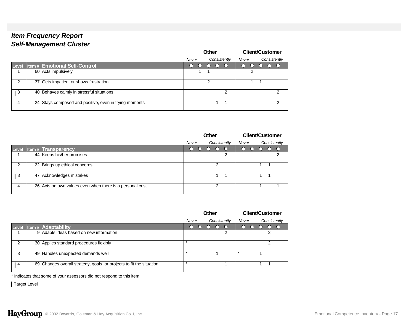|       |                                                        | <b>Other</b><br>Consistently<br>Never |  |  |                    |   |       |  | <b>Client/Customer</b> |              |
|-------|--------------------------------------------------------|---------------------------------------|--|--|--------------------|---|-------|--|------------------------|--------------|
|       |                                                        |                                       |  |  |                    |   | Never |  |                        | Consistently |
| Level | <b>Item # Emotional Self-Control</b>                   |                                       |  |  | $\left($ $\right)$ |   |       |  |                        |              |
|       | 60 Acts impulsively                                    |                                       |  |  |                    |   |       |  |                        |              |
| 2     | 37 Gets impatient or shows frustration                 |                                       |  |  |                    |   |       |  |                        |              |
| 3     | 40 Behaves calmly in stressful situations              |                                       |  |  |                    | 2 |       |  |                        | 2            |
| 4     | 24 Stays composed and positive, even in trying moments |                                       |  |  |                    |   |       |  |                        | 2            |

|       |                                                          |           | Other                                         |   |       | <b>Client/Customer</b> |              |   |
|-------|----------------------------------------------------------|-----------|-----------------------------------------------|---|-------|------------------------|--------------|---|
|       |                                                          | Never     | Consistently                                  |   | Never |                        | Consistently |   |
| Level | <b>Item# Transparency</b>                                | $\bigcap$ | $\left( \begin{array}{c} \end{array} \right)$ |   |       |                        |              |   |
|       | 44 Keeps his/her promises                                |           |                                               | 2 |       |                        |              | 2 |
| 2     | 22 Brings up ethical concerns                            |           |                                               |   |       |                        |              |   |
| l 3   | 47 Acknowledges mistakes                                 |           |                                               |   |       |                        |              |   |
| 4     | 26 Acts on own values even when there is a personal cost |           | ≘                                             |   |       |                        |              |   |

|               |                                                                      |       | Other |              |       | <b>Client/Customer</b> |  |              |
|---------------|----------------------------------------------------------------------|-------|-------|--------------|-------|------------------------|--|--------------|
|               |                                                                      | Never |       | Consistently | Never |                        |  | Consistently |
| Level         | <b>Item# Adaptability</b>                                            |       |       |              |       |                        |  |              |
|               | 9 Adapts ideas based on new information                              |       |       | 2            |       |                        |  |              |
| $\mathcal{P}$ | 30 Applies standard procedures flexibly                              |       |       |              |       |                        |  |              |
| 3             | 49 Handles unexpected demands well                                   |       |       |              |       |                        |  |              |
| 4             | 69 Changes overall strategy, goals, or projects to fit the situation |       |       |              |       |                        |  |              |

\* Indicates that some of your assessors did not respond to this item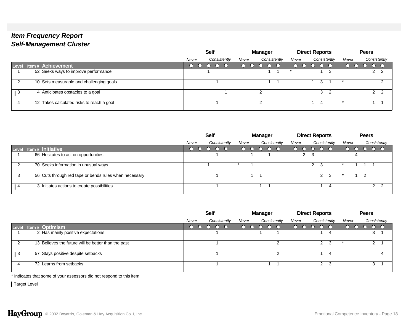|                 |                                           |       | <b>Self</b> |              |       | Manager |              |       |  | <b>Direct Reports</b> |       | <b>Peers</b> |     |    |
|-----------------|-------------------------------------------|-------|-------------|--------------|-------|---------|--------------|-------|--|-----------------------|-------|--------------|-----|----|
|                 |                                           | Never |             | Consistently | Never |         | Consistently | Never |  | Consistently          | Never | Consistently |     |    |
|                 | Level Item # Achievement                  |       |             |              |       |         |              |       |  |                       |       |              |     |    |
|                 | 52 Seeks ways to improve performance      |       |             |              |       |         |              |       |  | 3                     |       |              | 2 2 |    |
| റ               | 10 Sets measurable and challenging goals  |       |             |              |       |         |              |       |  | 3                     |       |              |     |    |
| $\overline{1}3$ | 4 Anticipates obstacles to a goal         |       |             |              |       |         |              |       |  | $3\quad 2$            |       |              | 2   | ົາ |
| 4               | 12 Takes calculated risks to reach a goal |       |             |              |       | ົ       |              |       |  |                       |       |              |     |    |

|              |                                                        |       | <b>Self</b> |              |       | <b>Manager</b> |              |       | <b>Direct Reports</b> |                |              |              |       |   | <b>Peers</b> |                |              |
|--------------|--------------------------------------------------------|-------|-------------|--------------|-------|----------------|--------------|-------|-----------------------|----------------|--------------|--------------|-------|---|--------------|----------------|--------------|
|              |                                                        | Never |             | Consistently | Never |                | Consistently | Never |                       |                |              | Consistently | Never |   |              |                | Consistently |
| Level        | ltem # Initiative                                      |       |             |              |       |                |              |       |                       |                |              |              |       |   |              |                |              |
|              | 66 Hesitates to act on opportunities                   |       |             |              |       |                |              |       | 2 3                   |                |              |              |       | 4 |              |                |              |
|              | 70 Seeks information in unusual ways                   |       |             |              |       |                |              |       |                       | 2 <sup>3</sup> |              |              |       |   |              |                |              |
|              | 56 Cuts through red tape or bends rules when necessary |       |             |              |       |                |              |       |                       |                | $\mathbf{2}$ | - 3          |       |   | C.           |                |              |
| $^{\circ}$ 4 | 3 Initiates actions to create possibilities            |       |             |              |       |                |              |       |                       |                |              | 4            |       |   |              | 2 <sub>2</sub> |              |

|                |                                                     |       | <b>Self</b>  |       | <b>Manager</b> |       | <b>Direct Reports</b> |                |       | <b>Peers</b> |              |
|----------------|-----------------------------------------------------|-------|--------------|-------|----------------|-------|-----------------------|----------------|-------|--------------|--------------|
|                |                                                     | Never | Consistently | Never | Consistently   | Never | Consistently          |                | Never |              | Consistently |
|                | Level Item # Optimism                               |       |              |       |                |       |                       |                |       |              |              |
|                | 2 Has mainly positive expectations                  |       |              |       |                |       |                       |                |       | C,           |              |
| ി              | 13 Believes the future will be better than the past |       |              |       | ົ              |       | $\mathcal{P}$         | -3             |       |              |              |
| $\mathbf{1}$ 3 | 57 Stays positive despite setbacks                  |       |              |       | ◠              |       |                       | 4              |       |              |              |
|                | 72 Learns from setbacks                             |       |              |       |                |       |                       | 2 <sup>3</sup> |       |              |              |

\* Indicates that some of your assessors did not respond to this item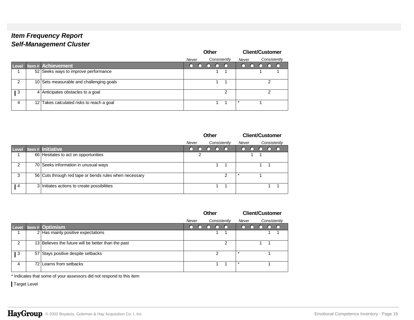|               |                                           |       | Other |    |              |                  | <b>Client/Customer</b> |   |              |
|---------------|-------------------------------------------|-------|-------|----|--------------|------------------|------------------------|---|--------------|
|               |                                           | Never |       |    | Consistently | Never            |                        |   | Consistently |
| <b>Level</b>  | <b>Item # Achievement</b>                 | ( )   |       | [] |              | $\left( \right)$ |                        |   |              |
|               | 52 Seeks ways to improve performance      |       |       |    |              |                  |                        |   |              |
| $\mathcal{P}$ | 10 Sets measurable and challenging goals  |       |       |    |              |                  |                        | າ |              |
| 3             | 4 Anticipates obstacles to a goal         |       |       |    | ◠            |                  |                        | っ |              |
| 4             | 12 Takes calculated risks to reach a goal |       |       |    |              |                  |                        |   |              |

|                |                                                        |       |   | <b>Other</b> |                                               |              |        |  | <b>Client/Customer</b> |              |
|----------------|--------------------------------------------------------|-------|---|--------------|-----------------------------------------------|--------------|--------|--|------------------------|--------------|
|                |                                                        | Never |   |              |                                               | Consistently | Never  |  |                        | Consistently |
| Level          | Item # Initiative                                      |       |   |              | $\left( \begin{array}{c} \end{array} \right)$ |              | $\cap$ |  |                        |              |
|                | 66 Hesitates to act on opportunities                   |       | 2 |              |                                               |              |        |  |                        |              |
| 2              | 70 Seeks information in unusual ways                   |       |   |              |                                               |              |        |  |                        |              |
| 3              | 56 Cuts through red tape or bends rules when necessary |       |   |              |                                               | っ            |        |  |                        |              |
| $\overline{4}$ | 3 Initiates actions to create possibilities            |       |   |              |                                               |              |        |  |                        |              |

|               |                                                     |          | <b>Other</b> |                 |              |                 |  | <b>Client/Customer</b> |              |
|---------------|-----------------------------------------------------|----------|--------------|-----------------|--------------|-----------------|--|------------------------|--------------|
|               |                                                     | Never    |              |                 | Consistently | Never           |  |                        | Consistently |
| Level         | Item # Optimism                                     | $\Omega$ | $\bigcap$    | $\circ$ $\circ$ |              | $\circ$ $\circ$ |  |                        |              |
|               | 2 Has mainly positive expectations                  |          |              |                 |              |                 |  |                        |              |
| $\mathcal{P}$ | 13 Believes the future will be better than the past |          |              |                 | ⌒            |                 |  |                        |              |
| 3             | 57 Stays positive despite setbacks                  |          |              | າ               |              | $\star$         |  |                        |              |
| 4             | 72 Learns from setbacks                             |          |              |                 |              | $\star$         |  |                        |              |

\* Indicates that some of your assessors did not respond to this item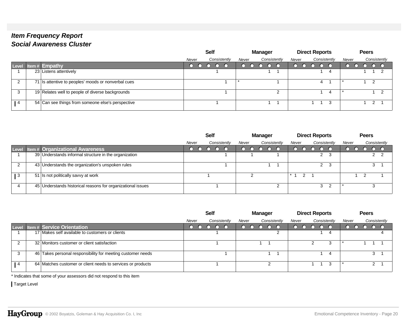### *Item Frequency Report Social Awareness Cluster*

|     |                                                     | <b>Self</b>           | <b>Manager</b>        | <b>Direct Reports</b> | <b>Peers</b>          |
|-----|-----------------------------------------------------|-----------------------|-----------------------|-----------------------|-----------------------|
|     |                                                     | Consistently<br>Never | Consistently<br>Never | Consistently<br>Never | Consistently<br>Never |
|     | Level Item # Empathy                                |                       |                       |                       |                       |
|     | 23 Listens attentively                              |                       |                       | 4                     |                       |
|     | 71 Is attentive to peoples' moods or nonverbal cues |                       |                       | 4                     | $\overline{2}$        |
|     | 19 Relates well to people of diverse backgrounds    |                       |                       | 4                     |                       |
| l 4 | 54 Can see things from someone else's perspective   |                       |                       | 3                     | 2                     |

|       |                                                             |       | <b>Self</b> |              |       | Manager |              |           |   | <b>Direct Reports</b> |   |              |       | <b>Peers</b> |            |  |
|-------|-------------------------------------------------------------|-------|-------------|--------------|-------|---------|--------------|-----------|---|-----------------------|---|--------------|-------|--------------|------------|--|
|       |                                                             | Never |             | Consistently | Never |         | Consistently | Never     |   |                       |   | Consistently | Never | Consistently |            |  |
| Level | <b>Item# Organizational Awareness</b>                       |       |             |              |       |         |              |           |   |                       |   |              |       |              |            |  |
|       | 39 Understands informal structure in the organization       |       |             |              |       |         |              |           |   |                       |   | -3           |       |              | $2\quad 2$ |  |
|       | 43 Understands the organization's unspoken rules            |       |             |              |       |         |              |           |   |                       |   | -3           |       |              |            |  |
| ∣3    | 51 Is not politically savvy at work                         |       |             |              |       |         |              | $\star$ 4 | ົ |                       |   |              |       |              |            |  |
|       | 45 Understands historical reasons for organizational issues |       |             |              |       |         | ົ            |           |   |                       | 3 |              |       |              |            |  |

|            |                                                             | <b>Self</b>           | <b>Manager</b>        | <b>Direct Reports</b> | <b>Peers</b>          |
|------------|-------------------------------------------------------------|-----------------------|-----------------------|-----------------------|-----------------------|
|            |                                                             | Consistently<br>Never | Consistently<br>Never | Consistently<br>Never | Consistently<br>Never |
|            | Level Item # Service Orientation                            |                       |                       |                       |                       |
|            | 17 Makes self available to customers or clients             |                       |                       |                       |                       |
|            | 32 Monitors customer or client satisfaction                 |                       |                       | 3                     |                       |
| 3          | 46 Takes personal responsibility for meeting customer needs |                       |                       | 4                     |                       |
| $\sqrt{4}$ | 64 Matches customer or client needs to services or products |                       |                       | 3                     |                       |

\* Indicates that some of your assessors did not respond to this item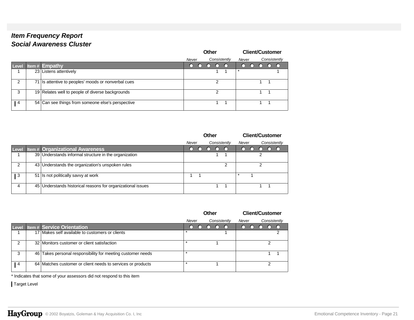# *Item Frequency Report Social Awareness Cluster*

|                |                                                     |       | <b>Other</b> |   |              |        |  | <b>Client/Customer</b> |  |
|----------------|-----------------------------------------------------|-------|--------------|---|--------------|--------|--|------------------------|--|
|                |                                                     | Never |              |   | Consistently | Never  |  | Consistently           |  |
| <b>Level</b>   | Item# $Empathy$                                     |       |              |   |              | $\cap$ |  |                        |  |
|                | 23 Listens attentively                              |       |              |   |              |        |  |                        |  |
| 2              | 71 Is attentive to peoples' moods or nonverbal cues |       |              | າ |              |        |  |                        |  |
| 3              | 19 Relates well to people of diverse backgrounds    |       |              | 2 |              |        |  |                        |  |
| $\overline{4}$ | 54 Can see things from someone else's perspective   |       |              |   |              |        |  |                        |  |

|       |                                                             |       | <b>Other</b> |              |        | <b>Client/Customer</b> |              |  |
|-------|-------------------------------------------------------------|-------|--------------|--------------|--------|------------------------|--------------|--|
|       |                                                             | Never |              | Consistently | Never  |                        | Consistently |  |
| Level | <b>Item# Organizational Awareness</b>                       |       |              |              | $\cap$ |                        |              |  |
|       | 39 Understands informal structure in the organization       |       |              |              |        |                        |              |  |
| 2     | 43 Understands the organization's unspoken rules            |       |              | っ            |        |                        |              |  |
| 3     | 51 Is not politically savvy at work                         |       |              |              |        |                        |              |  |
| 4     | 45 Understands historical reasons for organizational issues |       |              |              |        |                        |              |  |

|                |    |                                                             |       | Other |              |        |  | <b>Client/Customer</b> |              |
|----------------|----|-------------------------------------------------------------|-------|-------|--------------|--------|--|------------------------|--------------|
|                |    |                                                             | Never |       | Consistently | Never  |  |                        | Consistently |
| Level          |    | <b>Item # Service Orientation</b>                           |       |       |              | $\cap$ |  |                        |              |
|                | 17 | Makes self available to customers or clients                |       |       |              |        |  |                        |              |
| $\mathcal{P}$  |    | 32 Monitors customer or client satisfaction                 |       |       |              |        |  |                        |              |
| 3              |    | 46 Takes personal responsibility for meeting customer needs |       |       |              |        |  |                        |              |
| $\overline{4}$ |    | 64 Matches customer or client needs to services or products |       |       |              |        |  |                        |              |

\* Indicates that some of your assessors did not respond to this item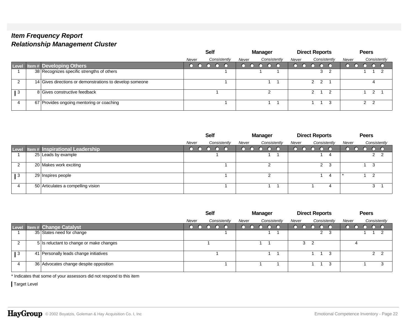|                 |                                                          | <b>Self</b> |              |       | Manager      |       | <b>Direct Reports</b>           |       | <b>Peers</b> |  |
|-----------------|----------------------------------------------------------|-------------|--------------|-------|--------------|-------|---------------------------------|-------|--------------|--|
|                 |                                                          | Never       | Consistently | Never | Consistently | Never | Consistently                    | Never | Consistently |  |
|                 | Level Item # Developing Others                           |             |              |       |              |       |                                 |       |              |  |
|                 | 38 Recognizes specific strengths of others               |             |              |       |              |       | 3 <sub>2</sub>                  |       |              |  |
| റ               | 14 Gives directions or demonstrations to develop someone |             |              |       |              |       | $2 \quad 2 \quad 1$             |       |              |  |
| $\overline{1}3$ | 8 Gives constructive feedback                            |             |              |       |              |       | $\mathcal{P}$<br>$\overline{2}$ |       |              |  |
| $\Delta$        | 67 Provides ongoing mentoring or coaching                |             |              |       |              |       | 3                               |       | $2 \quad 2$  |  |

|           |                                       | Self  |              |       | Manager      | <b>Direct Reports</b> |                       |     |       | <b>Peers</b>                  |             |              |
|-----------|---------------------------------------|-------|--------------|-------|--------------|-----------------------|-----------------------|-----|-------|-------------------------------|-------------|--------------|
|           |                                       | Never | Consistently | Never | Consistently | Never                 | Consistently          |     | Never |                               |             | Consistently |
|           | Level Item # Inspirational Leadership |       |              |       | 1000.        | $\circ$ $\circ$       | $\bigcirc$ $\bigcirc$ |     |       | $\overline{O}$ $\overline{O}$ |             |              |
|           | 25 Leads by example                   |       |              |       |              |                       |                       |     |       |                               | $2 \quad 2$ |              |
|           | 20 Makes work exciting                |       |              |       |              |                       | 2                     | - 3 |       |                               |             |              |
| $\vert 3$ | 29 Inspires people                    |       |              |       | ົ            |                       |                       | 4   |       |                               | ຳ           |              |
|           | 50 Articulates a compelling vision    |       |              |       |              |                       |                       | 4   |       |                               | 3           |              |

|              |                                          | <b>Self</b>           | <b>Manager</b>        | <b>Direct Reports</b> | <b>Peers</b>          |
|--------------|------------------------------------------|-----------------------|-----------------------|-----------------------|-----------------------|
|              |                                          | Consistently<br>Never | Consistently<br>Never | Consistently<br>Never | Consistently<br>Never |
|              | Level Item # Change Catalyst             |                       |                       |                       | $\cap$ $\cap$         |
|              | 35 States need for change                |                       |                       | $2 \quad 3$           |                       |
|              | 5 Is reluctant to change or make changes |                       |                       | 3                     |                       |
| l 3          | 41 Personally leads change initiatives   |                       |                       | 3                     | 2                     |
| $\mathbf{u}$ | 36 Advocates change despite opposition   |                       |                       | 3                     |                       |

\* Indicates that some of your assessors did not respond to this item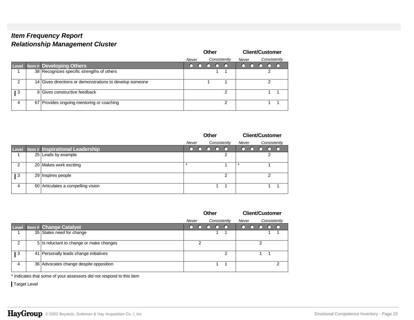|               |                                                          |       | Other |              |       | <b>Client/Customer</b> |  |
|---------------|----------------------------------------------------------|-------|-------|--------------|-------|------------------------|--|
|               |                                                          | Never |       | Consistently | Never | Consistently           |  |
| <b>Level</b>  | <b>Item # Developing Others</b>                          |       |       |              | ( )   |                        |  |
|               | 38 Recognizes specific strengths of others               |       |       |              |       | ◠                      |  |
| $\mathcal{P}$ | 14 Gives directions or demonstrations to develop someone |       |       |              |       |                        |  |
| 3             | 8 Gives constructive feedback                            |       |       | ົ            |       |                        |  |
| 4             | 67 Provides ongoing mentoring or coaching                |       |       | ◠            |       |                        |  |

|       |                                        |           | Other                        |             | <b>Client/Customer</b> |
|-------|----------------------------------------|-----------|------------------------------|-------------|------------------------|
|       |                                        | Never     | Consistently                 | Never       | Consistently           |
| Level | <b>Item # Inspirational Leadership</b> | $\bigcap$ | $\left( \right)$<br>O<br>. 1 | $\cap$<br>∩ | ு<br>$\bigcap$         |
|       | 25 Leads by example                    |           | 2                            |             |                        |
| 2     | 20 Makes work exciting                 |           |                              |             |                        |
| l 3   | 29 Inspires people                     |           | 2                            |             | ⌒                      |
| 4     | 50 Articulates a compelling vision     |           |                              |             |                        |

|       |                                          |       | <b>Other</b> |              |       | <b>Client/Customer</b> |              |
|-------|------------------------------------------|-------|--------------|--------------|-------|------------------------|--------------|
|       |                                          | Never |              | Consistently | Never |                        | Consistently |
| Level | <b>Item # Change Catalyst</b>            |       |              |              | ◠     |                        |              |
|       | 35 States need for change                |       |              |              |       |                        |              |
| 2     | 5 Is reluctant to change or make changes | ◠     |              |              |       |                        |              |
| 3     | 41 Personally leads change initiatives   |       |              | ົ            |       |                        |              |
| 4     | 36 Advocates change despite opposition   |       |              |              |       |                        | ົ            |

\* Indicates that some of your assessors did not respond to this item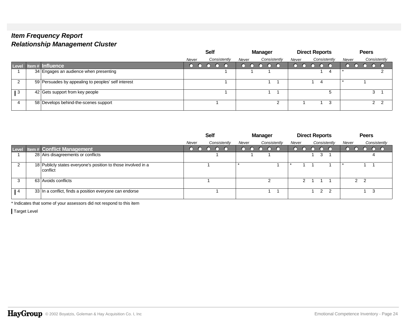|                 |                                                     | <b>Self</b><br>Manager |  |              |       | <b>Direct Reports</b> |              | <b>Peers</b> |  |              |       |  |                |              |
|-----------------|-----------------------------------------------------|------------------------|--|--------------|-------|-----------------------|--------------|--------------|--|--------------|-------|--|----------------|--------------|
|                 |                                                     | Never                  |  | Consistently | Never |                       | Consistently | Never        |  | Consistently | Never |  |                | Consistently |
|                 | Level Item# Influence                               |                        |  |              |       |                       |              |              |  |              |       |  |                |              |
|                 | 34 Engages an audience when presenting              |                        |  |              |       |                       |              |              |  | 4            |       |  |                |              |
| റ               | 59 Persuades by appealing to peoples' self interest |                        |  |              |       |                       |              |              |  |              |       |  |                |              |
| $\overline{1}3$ | 42 Gets support from key people                     |                        |  |              |       |                       |              |              |  | 5            |       |  | ົ              |              |
| $\Delta$        | 58 Develops behind-the-scenes support               |                        |  |              |       |                       | ົ            |              |  | 3            |       |  | 2 <sub>2</sub> |              |

|                 |                                                                              | <b>Self</b> |  |  | <b>Manager</b> |       |  | <b>Direct Reports</b> |       |               |               |              | <b>Peers</b> |            |  |   |              |
|-----------------|------------------------------------------------------------------------------|-------------|--|--|----------------|-------|--|-----------------------|-------|---------------|---------------|--------------|--------------|------------|--|---|--------------|
|                 |                                                                              | Never       |  |  | Consistently   | Never |  | Consistently          | Never |               |               | Consistently | Never        |            |  |   | Consistently |
|                 | Level Item # Conflict Management                                             |             |  |  |                |       |  |                       |       |               |               |              |              |            |  |   |              |
|                 | 28 Airs disagreements or conflicts                                           |             |  |  |                |       |  |                       |       |               | 3             |              |              |            |  |   |              |
|                 | 18 Publicly states everyone's position to those involved in a<br>  conflict_ |             |  |  |                |       |  |                       |       |               |               |              |              |            |  |   |              |
| 3               | 63 Avoids conflicts                                                          |             |  |  |                |       |  |                       |       | $\mathcal{P}$ |               |              |              | $2\quad 2$ |  |   |              |
| $\overline{14}$ | 33 In a conflict, finds a position everyone can endorse                      |             |  |  |                |       |  |                       |       |               | $\mathcal{P}$ | - 2          |              |            |  | 3 |              |

\* Indicates that some of your assessors did not respond to this item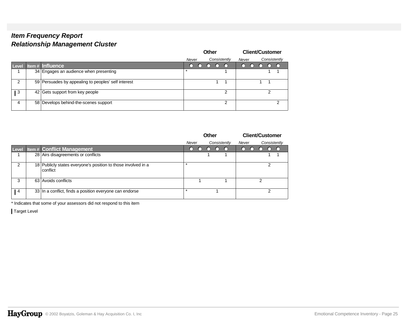|               |                                                     |       | Other |    |              |       |  | <b>Client/Customer</b> |              |
|---------------|-----------------------------------------------------|-------|-------|----|--------------|-------|--|------------------------|--------------|
|               |                                                     | Never |       |    | Consistently | Never |  |                        | Consistently |
| <b>Level</b>  | Item # Influence                                    |       |       | () |              | . .   |  |                        |              |
|               | 34 Engages an audience when presenting              |       |       |    |              |       |  |                        |              |
| $\mathcal{P}$ | 59 Persuades by appealing to peoples' self interest |       |       |    |              |       |  |                        |              |
| 3             | 42 Gets support from key people                     |       |       |    | ົ            |       |  | っ                      |              |
| 4             | 58 Develops behind-the-scenes support               |       |       |    | ◠            |       |  |                        | ົ            |

|               |                                                                           | Other |            |  |        |              |        |            | <b>Client/Customer</b> |   |              |
|---------------|---------------------------------------------------------------------------|-------|------------|--|--------|--------------|--------|------------|------------------------|---|--------------|
|               |                                                                           | Never |            |  |        | Consistently | Never  |            |                        |   | Consistently |
| Level         | <b>Item # Conflict Management</b>                                         | ∩     | $\bigcirc$ |  | $\cap$ | $\cap$       | $\cap$ | $\bigcirc$ |                        |   |              |
|               | 28 Airs disagreements or conflicts                                        |       |            |  |        |              |        |            |                        |   |              |
| $\mathcal{P}$ | 18 Publicly states everyone's position to those involved in a<br>conflict |       |            |  |        |              |        |            |                        |   |              |
| 3             | 63 Avoids conflicts                                                       |       |            |  |        |              |        |            |                        |   |              |
| 4             | 33 In a conflict, finds a position everyone can endorse                   |       |            |  |        |              |        |            |                        | າ |              |

\* Indicates that some of your assessors did not respond to this item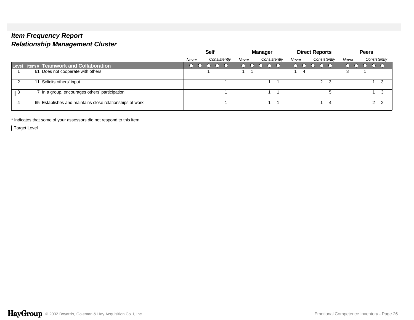|       |                                                          |       | <b>Self</b>  |       | Manager      |       | <b>Direct Reports</b> |       | <b>Peers</b>  |  |
|-------|----------------------------------------------------------|-------|--------------|-------|--------------|-------|-----------------------|-------|---------------|--|
|       |                                                          | Never | Consistently | Never | Consistently | Never | Consistently          | Never | Consistently  |  |
| Level | <b>Item # Teamwork and Collaboration</b>                 |       |              |       |              |       |                       |       |               |  |
|       | 61 Does not cooperate with others                        |       |              |       |              |       |                       |       |               |  |
|       | 11 Solicits others' input                                |       |              |       |              |       | 2 <sub>3</sub>        |       |               |  |
| l 3   | 7 In a group, encourages others' participation           |       |              |       |              |       | 5                     |       |               |  |
|       | 65 Establishes and maintains close relationships at work |       |              |       |              |       | 4                     |       | $\mathcal{P}$ |  |

\* Indicates that some of your assessors did not respond to this item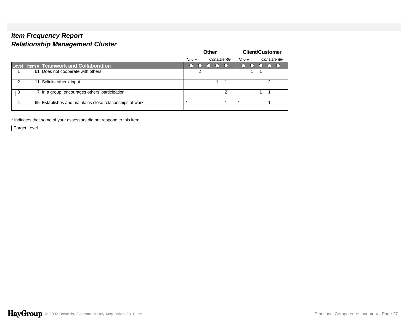|       |                 |                                                          |         | Other |              |         | <b>Client/Customer</b> |   |              |
|-------|-----------------|----------------------------------------------------------|---------|-------|--------------|---------|------------------------|---|--------------|
|       |                 |                                                          | Never   |       | Consistently | Never   |                        |   | Consistently |
| Level |                 | <b>Item# Teamwork and Collaboration</b>                  | ו       |       |              | $\cap$  |                        |   |              |
|       |                 | 61 Does not cooperate with others                        |         |       |              |         |                        |   |              |
| 2     | 11 <sup>1</sup> | Solicits others' input                                   |         |       |              |         |                        | າ |              |
| 3     |                 | 7 In a group, encourages others' participation           |         |       |              |         |                        |   |              |
| 4     |                 | 65 Establishes and maintains close relationships at work | $\star$ |       |              | $\star$ |                        |   |              |

\* Indicates that some of your assessors did not respond to this item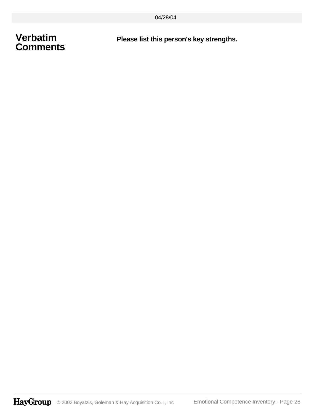# **Verbatim Comments**

**Please list this person's key strengths.**